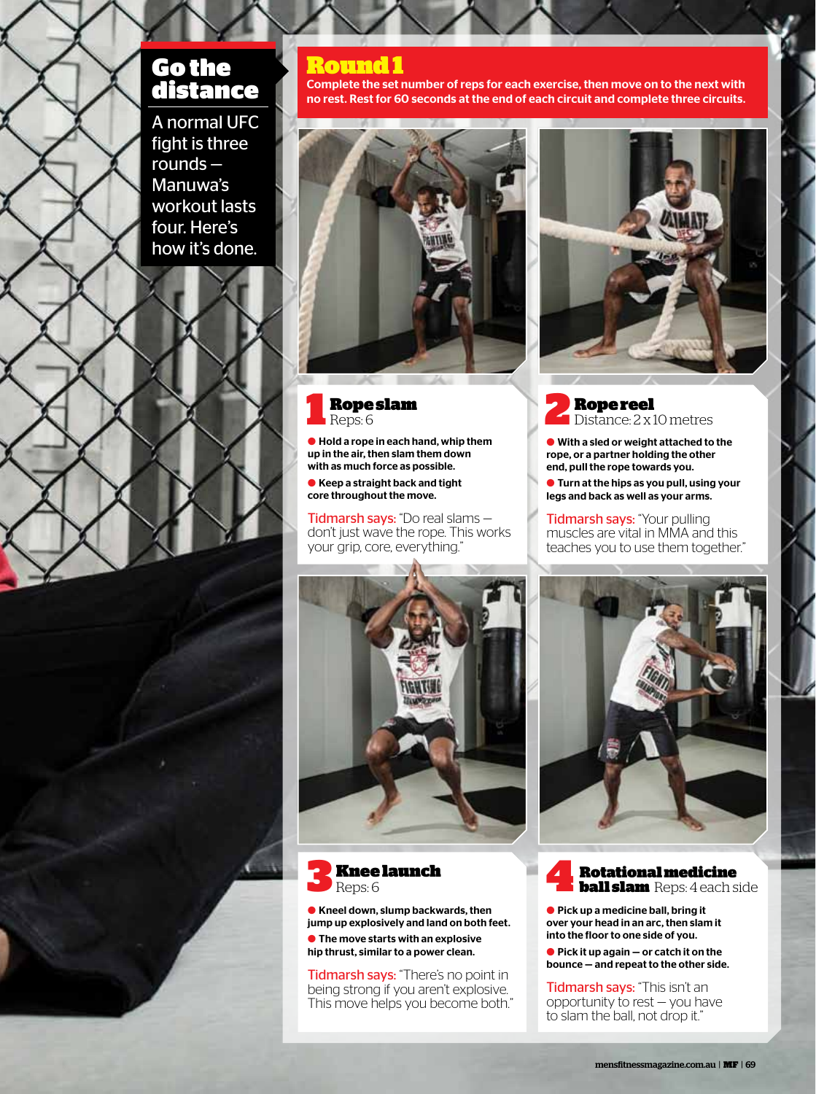# Go the distance

A normal UFC fight is three rounds — Manuwa's workout lasts four. Here's how it's done.

### Round 1

Complete the set number of reps for each exercise, then move on to the next with no rest. Rest for 60 seconds at the end of each circuit and complete three circuits.





 $\bullet$  Hold a rope in each hand, whip them up in the air, then slam them down with as much force as possible.

● Keep a straight back and tight core throughout the move.

Tidmarsh says: "Do real slams don't just wave the rope. This works your grip, core, everything."





**C** Kneel down, slump backwards, then jump up explosively and land on both feet.  $\bullet$  The move starts with an explosive hip thrust, similar to a power clean.

Tidmarsh says: "There's no point in being strong if you aren't explosive. This move helps you become both."



**Rope reel**<br>Distance: 2 x 10 metres

 $\bullet$  With a sled or weight attached to the rope, or a partner holding the other end, pull the rope towards you.

**I** Turn at the hips as you pull, using your legs and back as well as your arms.

Tidmarsh says: "Your pulling muscles are vital in MMA and this teaches you to use them together."



**Rotational medicine<br>ball slam** Reps: 4 each side

● Pick up a medicine ball, bring it over your head in an arc, then slam it into the floor to one side of you.

 $\bullet$  Pick it up again  $-$  or catch it on the bounce — and repeat to the other side.

Tidmarsh says: "This isn't an opportunity to rest — you have to slam the ball, not drop it."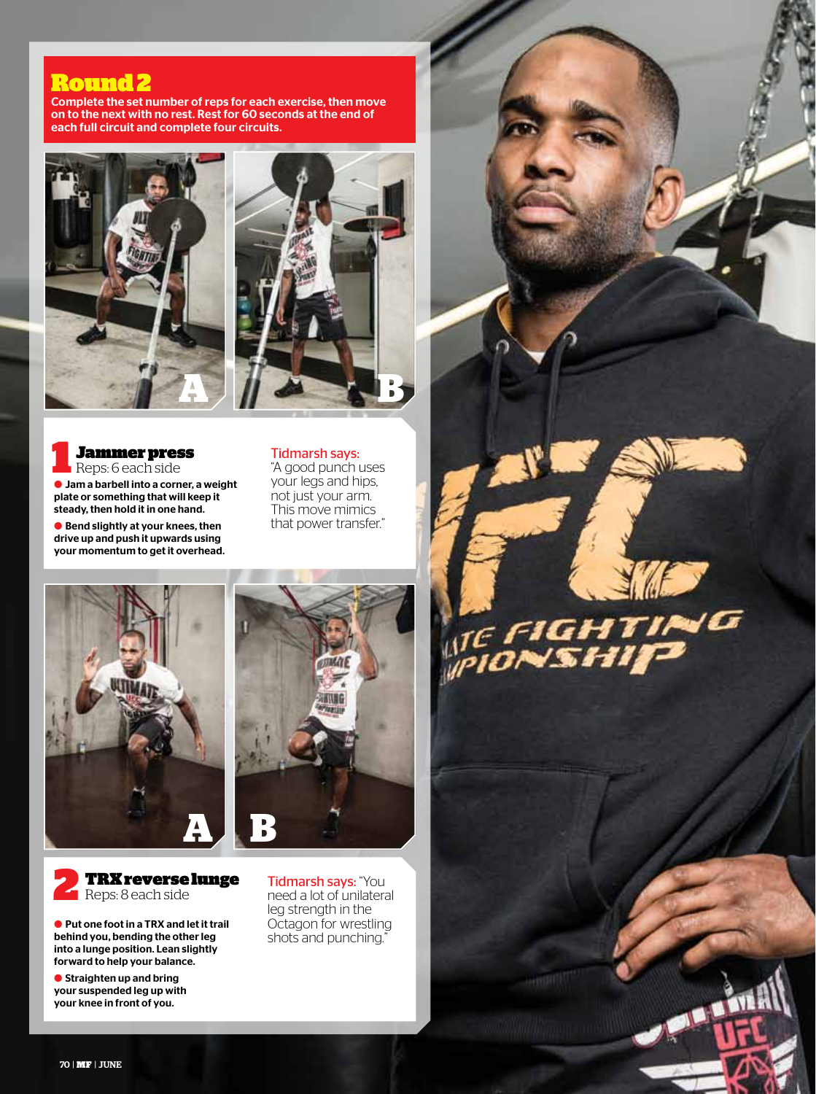### Round 2

Complete the set number of reps for each exercise, then move on to the next with no rest. Rest for 60 seconds at the end of each full circuit and complete four circuits.







 $\bullet$  Jam a barbell into a corner, a weight plate or something that will keep it steady, then hold it in one hand. **Jammer press**<br>Reps: 6 each side

 $\bullet$  Bend slightly at your knees, then drive up and push it upwards using your momentum to get it overhead.

#### Tidmarsh says: "A good punch uses your legs and hips, not just your arm. This move mimics that power transfer."

**A**



**IF FIGHTING** 

**GentDIT** 



l Put one foot in a TRX and let it trail behind you, bending the other leg into a lunge position. Lean slightly forward to help your balance.

 $\bullet$  Straighten up and bring your suspended leg up with your knee in front of you.

Tidmarsh says: "You need a lot of unilateral leg strength in the Octagon for wrestling shots and punching."

70 | MF | JUNE